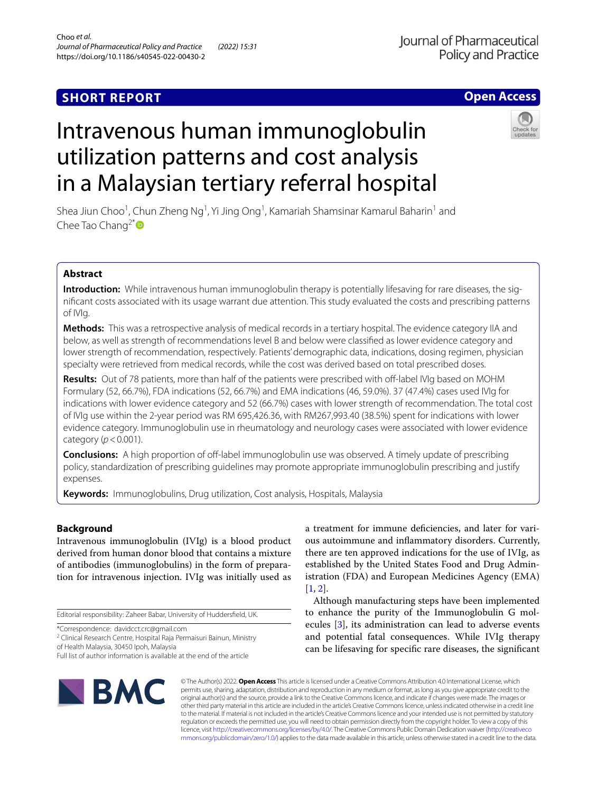## **SHORT REPORT**

## **Open Access**

# Intravenous human immunoglobulin utilization patterns and cost analysis in a Malaysian tertiary referral hospital

Shea Jiun Choo<sup>1</sup>, Chun Zheng Ng<sup>1</sup>, Yi Jing Ong<sup>1</sup>, Kamariah Shamsinar Kamarul Baharin<sup>1</sup> and Chee Tao Chang<sup>2[\\*](http://orcid.org/0000-0002-9263-446X)</sup>

## **Abstract**

**Introduction:** While intravenous human immunoglobulin therapy is potentially lifesaving for rare diseases, the signifcant costs associated with its usage warrant due attention. This study evaluated the costs and prescribing patterns of IVIg.

**Methods:** This was a retrospective analysis of medical records in a tertiary hospital. The evidence category IIA and below, as well as strength of recommendations level B and below were classifed as lower evidence category and lower strength of recommendation, respectively. Patients' demographic data, indications, dosing regimen, physician specialty were retrieved from medical records, while the cost was derived based on total prescribed doses.

**Results:** Out of 78 patients, more than half of the patients were prescribed with off-label IVIg based on MOHM Formulary (52, 66.7%), FDA indications (52, 66.7%) and EMA indications (46, 59.0%). 37 (47.4%) cases used IVIg for indications with lower evidence category and 52 (66.7%) cases with lower strength of recommendation. The total cost of IVIg use within the 2-year period was RM 695,426.36, with RM267,993.40 (38.5%) spent for indications with lower evidence category. Immunoglobulin use in rheumatology and neurology cases were associated with lower evidence category  $(p < 0.001)$ .

**Conclusions:** A high proportion of off-label immunoglobulin use was observed. A timely update of prescribing policy, standardization of prescribing guidelines may promote appropriate immunoglobulin prescribing and justify expenses.

**Keywords:** Immunoglobulins, Drug utilization, Cost analysis, Hospitals, Malaysia

## **Background**

Intravenous immunoglobulin (IVIg) is a blood product derived from human donor blood that contains a mixture of antibodies (immunoglobulins) in the form of preparation for intravenous injection. IVIg was initially used as

Editorial responsibility: Zaheer Babar, University of Huddersfeld, UK.

\*Correspondence: davidcct.crc@gmail.com

<sup>2</sup> Clinical Research Centre, Hospital Raja Permaisuri Bainun, Ministry of Health Malaysia, 30450 Ipoh, Malaysia

a treatment for immune defciencies, and later for various autoimmune and infammatory disorders. Currently, there are ten approved indications for the use of IVIg, as established by the United States Food and Drug Administration (FDA) and European Medicines Agency (EMA) [[1,](#page-4-0) [2](#page-4-1)].

Although manufacturing steps have been implemented to enhance the purity of the Immunoglobulin G molecules [[3\]](#page-4-2), its administration can lead to adverse events and potential fatal consequences. While IVIg therapy can be lifesaving for specifc rare diseases, the signifcant



© The Author(s) 2022. **Open Access** This article is licensed under a Creative Commons Attribution 4.0 International License, which permits use, sharing, adaptation, distribution and reproduction in any medium or format, as long as you give appropriate credit to the original author(s) and the source, provide a link to the Creative Commons licence, and indicate if changes were made. The images or other third party material in this article are included in the article's Creative Commons licence, unless indicated otherwise in a credit line to the material. If material is not included in the article's Creative Commons licence and your intended use is not permitted by statutory regulation or exceeds the permitted use, you will need to obtain permission directly from the copyright holder. To view a copy of this licence, visit [http://creativecommons.org/licenses/by/4.0/.](http://creativecommons.org/licenses/by/4.0/) The Creative Commons Public Domain Dedication waiver ([http://creativeco](http://creativecommons.org/publicdomain/zero/1.0/) [mmons.org/publicdomain/zero/1.0/](http://creativecommons.org/publicdomain/zero/1.0/)) applies to the data made available in this article, unless otherwise stated in a credit line to the data.

Full list of author information is available at the end of the article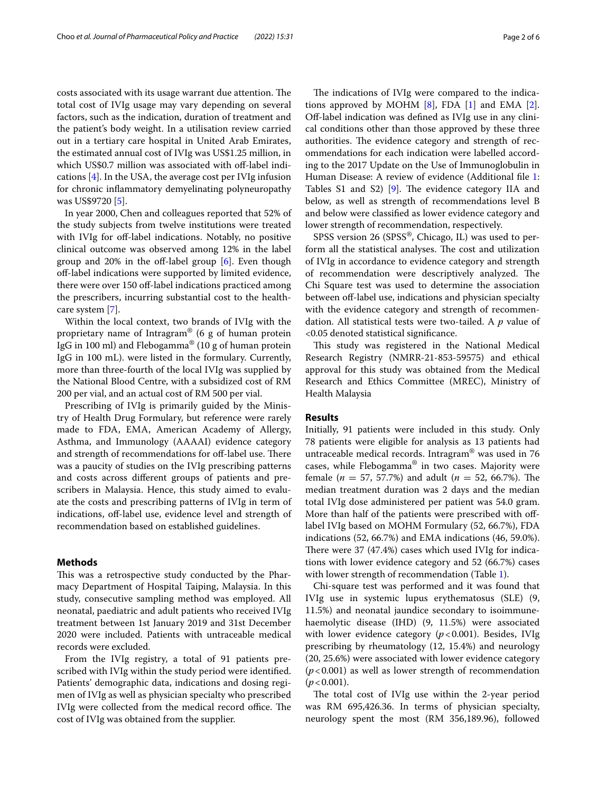costs associated with its usage warrant due attention. The total cost of IVIg usage may vary depending on several factors, such as the indication, duration of treatment and the patient's body weight. In a utilisation review carried out in a tertiary care hospital in United Arab Emirates, the estimated annual cost of IVIg was US\$1.25 million, in which US\$0.7 million was associated with off-label indications [\[4](#page-5-0)]. In the USA, the average cost per IVIg infusion for chronic infammatory demyelinating polyneuropathy was US\$9720 [[5\]](#page-5-1).

In year 2000, Chen and colleagues reported that 52% of the study subjects from twelve institutions were treated with IVIg for off-label indications. Notably, no positive clinical outcome was observed among 12% in the label group and 20% in the off-label group  $[6]$  $[6]$ . Even though of-label indications were supported by limited evidence, there were over 150 off-label indications practiced among the prescribers, incurring substantial cost to the healthcare system [[7\]](#page-5-3).

Within the local context, two brands of IVIg with the proprietary name of Intragram® (6 g of human protein IgG in 100 ml) and Flebogamma® (10 g of human protein IgG in 100 mL). were listed in the formulary. Currently, more than three-fourth of the local IVIg was supplied by the National Blood Centre, with a subsidized cost of RM 200 per vial, and an actual cost of RM 500 per vial.

Prescribing of IVIg is primarily guided by the Ministry of Health Drug Formulary, but reference were rarely made to FDA, EMA, American Academy of Allergy, Asthma, and Immunology (AAAAI) evidence category and strength of recommendations for off-label use. There was a paucity of studies on the IVIg prescribing patterns and costs across diferent groups of patients and prescribers in Malaysia. Hence, this study aimed to evaluate the costs and prescribing patterns of IVIg in term of indications, off-label use, evidence level and strength of recommendation based on established guidelines.

## **Methods**

This was a retrospective study conducted by the Pharmacy Department of Hospital Taiping, Malaysia. In this study, consecutive sampling method was employed. All neonatal, paediatric and adult patients who received IVIg treatment between 1st January 2019 and 31st December 2020 were included. Patients with untraceable medical records were excluded.

From the IVIg registry, a total of 91 patients prescribed with IVIg within the study period were identifed. Patients' demographic data, indications and dosing regimen of IVIg as well as physician specialty who prescribed IVIg were collected from the medical record office. The cost of IVIg was obtained from the supplier.

The indications of IVIg were compared to the indications approved by MOHM  $[8]$  $[8]$ , FDA  $[1]$  $[1]$  and EMA  $[2]$  $[2]$ . Of-label indication was defned as IVIg use in any clinical conditions other than those approved by these three authorities. The evidence category and strength of recommendations for each indication were labelled according to the 2017 Update on the Use of Immunoglobulin in Human Disease: A review of evidence (Additional fle [1](#page-4-3): Tables S1 and S2) [\[9](#page-5-5)]. The evidence category IIA and below, as well as strength of recommendations level B and below were classifed as lower evidence category and lower strength of recommendation, respectively.

SPSS version 26 (SPSS®, Chicago, IL) was used to perform all the statistical analyses. The cost and utilization of IVIg in accordance to evidence category and strength of recommendation were descriptively analyzed. The Chi Square test was used to determine the association between off-label use, indications and physician specialty with the evidence category and strength of recommendation. All statistical tests were two-tailed. A *p* value of <0.05 denoted statistical signifcance.

This study was registered in the National Medical Research Registry (NMRR-21-853-59575) and ethical approval for this study was obtained from the Medical Research and Ethics Committee (MREC), Ministry of Health Malaysia

## **Results**

Initially, 91 patients were included in this study. Only 78 patients were eligible for analysis as 13 patients had untraceable medical records. Intragram® was used in 76 cases, while Flebogamma® in two cases. Majority were female ( $n = 57, 57.7\%$ ) and adult ( $n = 52, 66.7\%$ ). The median treatment duration was 2 days and the median total IVIg dose administered per patient was 54.0 gram. More than half of the patients were prescribed with offlabel IVIg based on MOHM Formulary (52, 66.7%), FDA indications (52, 66.7%) and EMA indications (46, 59.0%). There were 37 (47.4%) cases which used IVIg for indications with lower evidence category and 52 (66.7%) cases with lower strength of recommendation (Table [1\)](#page-2-0).

Chi-square test was performed and it was found that IVIg use in systemic lupus erythematosus (SLE) (9, 11.5%) and neonatal jaundice secondary to isoimmunehaemolytic disease (IHD) (9, 11.5%) were associated with lower evidence category ( $p$ <0.001). Besides, IVIg prescribing by rheumatology (12, 15.4%) and neurology (20, 25.6%) were associated with lower evidence category (*p*<0.001) as well as lower strength of recommendation  $(p < 0.001)$ .

The total cost of IVIg use within the 2-year period was RM 695,426.36. In terms of physician specialty, neurology spent the most (RM 356,189.96), followed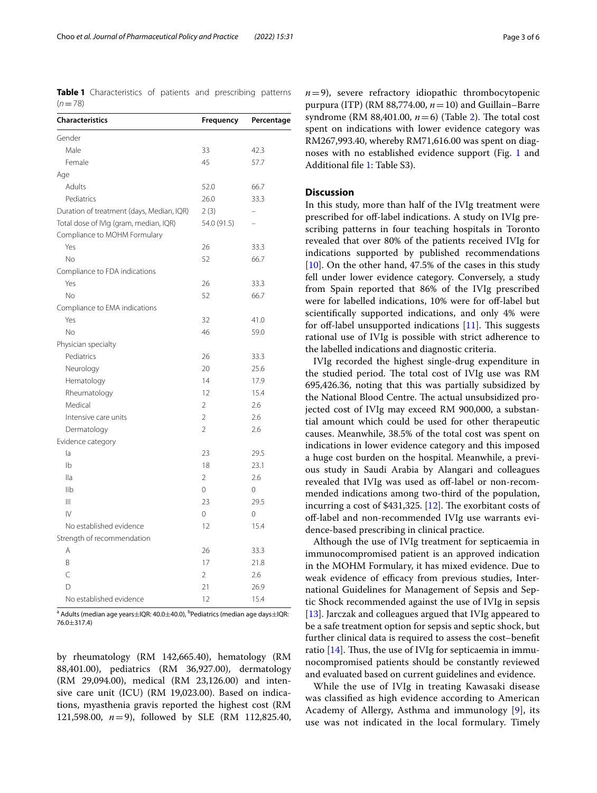<span id="page-2-0"></span>**Table 1** Characteristics of patients and prescribing patterns  $(n=78)$ 

| <b>Characteristics</b>                    | Frequency                | Percentage |
|-------------------------------------------|--------------------------|------------|
| Gender                                    |                          |            |
| Male                                      | 33                       | 42.3       |
| Female                                    | 45                       | 57.7       |
| Age                                       |                          |            |
| Adults                                    | 52.0                     | 66.7       |
| Pediatrics                                | 26.0                     | 33.3       |
| Duration of treatment (days, Median, IQR) | 2(3)                     |            |
| Total dose of IVIg (gram, median, IQR)    | 54.0 (91.5)              |            |
| Compliance to MOHM Formulary              |                          |            |
| Yes                                       | 26                       | 33.3       |
| No                                        | 52                       | 66.7       |
| Compliance to FDA indications             |                          |            |
| Yes                                       | 26                       | 33.3       |
| No                                        | 52                       | 66.7       |
| Compliance to EMA indications             |                          |            |
| Yes                                       | 32                       | 41.0       |
| No                                        | 46                       | 59.0       |
| Physician specialty                       |                          |            |
| Pediatrics                                | 26                       | 33.3       |
| Neurology                                 | 20                       | 25.6       |
| Hematology                                | 14                       | 17.9       |
| Rheumatology                              | 12                       | 15.4       |
| Medical                                   | 2                        | 2.6        |
| Intensive care units                      | $\overline{2}$           | 2.6        |
| Dermatology                               | $\overline{\phantom{a}}$ | 2.6        |
| Evidence category                         |                          |            |
| la                                        | 23                       | 29.5       |
| I <sub>b</sub>                            | 18                       | 23.1       |
| lla                                       | $\overline{2}$           | 2.6        |
| IIb                                       | 0                        | 0          |
| Ш                                         | 23                       | 29.5       |
| $\mathsf{IV}$                             | $\Omega$                 | 0          |
| No established evidence                   | 12                       | 15.4       |
| Strength of recommendation                |                          |            |
| A                                         | 26                       | 33.3       |
| B                                         | 17                       | 21.8       |
| C                                         | $\overline{2}$           | 2.6        |
| D                                         | 21                       | 26.9       |
| No established evidence                   | 12                       | 15.4       |

<sup>a</sup> Adults (median age years $\pm$ IQR: 40.0 $\pm$ 40.0), <sup>b</sup>Pediatrics (median age days $\pm$ IQR: 76.0±317.4)

by rheumatology (RM 142,665.40), hematology (RM 88,401.00), pediatrics (RM 36,927.00), dermatology (RM 29,094.00), medical (RM 23,126.00) and intensive care unit (ICU) (RM 19,023.00). Based on indications, myasthenia gravis reported the highest cost (RM 121,598.00, *n*=9), followed by SLE (RM 112,825.40,  $n=9$ ), severe refractory idiopathic thrombocytopenic purpura (ITP) (RM 88,774.00,  $n=10$ ) and Guillain–Barre syndrome (RM 88,401.00,  $n=6$ ) (Table [2\)](#page-3-0). The total cost spent on indications with lower evidence category was RM267,993.40, whereby RM71,616.00 was spent on diagnoses with no established evidence support (Fig. [1](#page-3-1) and Additional fle [1](#page-4-3): Table S3).

## **Discussion**

In this study, more than half of the IVIg treatment were prescribed for off-label indications. A study on IVIg prescribing patterns in four teaching hospitals in Toronto revealed that over 80% of the patients received IVIg for indications supported by published recommendations [[10\]](#page-5-6). On the other hand, 47.5% of the cases in this study fell under lower evidence category. Conversely, a study from Spain reported that 86% of the IVIg prescribed were for labelled indications, 10% were for off-label but scientifcally supported indications, and only 4% were for off-label unsupported indications  $[11]$ . This suggests rational use of IVIg is possible with strict adherence to the labelled indications and diagnostic criteria.

IVIg recorded the highest single-drug expenditure in the studied period. The total cost of IVIg use was RM 695,426.36, noting that this was partially subsidized by the National Blood Centre. The actual unsubsidized projected cost of IVIg may exceed RM 900,000, a substantial amount which could be used for other therapeutic causes. Meanwhile, 38.5% of the total cost was spent on indications in lower evidence category and this imposed a huge cost burden on the hospital. Meanwhile, a previous study in Saudi Arabia by Alangari and colleagues revealed that IVIg was used as off-label or non-recommended indications among two-third of the population, incurring a cost of \$431,325.  $[12]$ . The exorbitant costs of off-label and non-recommended IVIg use warrants evidence-based prescribing in clinical practice.

Although the use of IVIg treatment for septicaemia in immunocompromised patient is an approved indication in the MOHM Formulary, it has mixed evidence. Due to weak evidence of efficacy from previous studies, International Guidelines for Management of Sepsis and Septic Shock recommended against the use of IVIg in sepsis [[13\]](#page-5-9). Jarczak and colleagues argued that IVIg appeared to be a safe treatment option for sepsis and septic shock, but further clinical data is required to assess the cost–beneft ratio  $[14]$  $[14]$  $[14]$ . Thus, the use of IVIg for septicaemia in immunocompromised patients should be constantly reviewed and evaluated based on current guidelines and evidence.

While the use of IVIg in treating Kawasaki disease was classifed as high evidence according to American Academy of Allergy, Asthma and immunology [[9\]](#page-5-5), its use was not indicated in the local formulary. Timely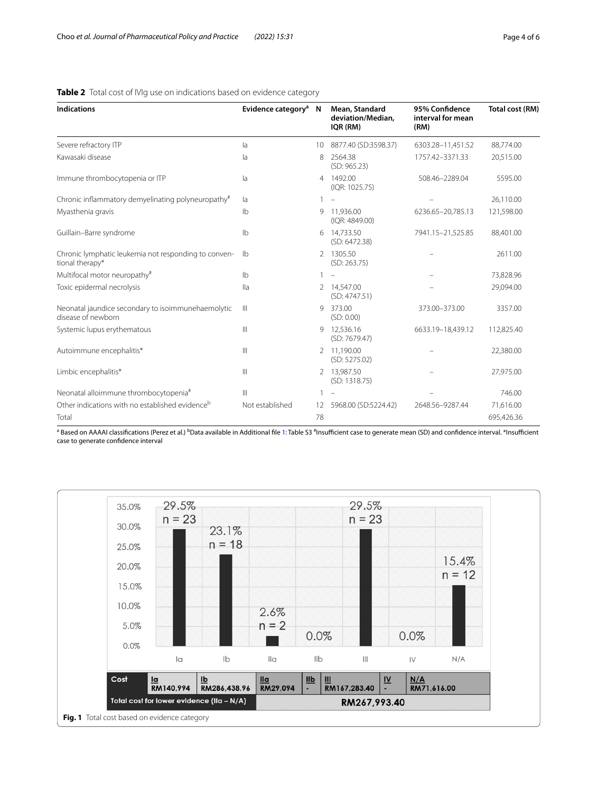| <b>Indications</b>                                                       | Evidence category <sup>a</sup> | N              | Mean, Standard<br>deviation/Median,<br>IQR (RM) | 95% Confidence<br>interval for mean<br>(RM) | Total cost (RM) |
|--------------------------------------------------------------------------|--------------------------------|----------------|-------------------------------------------------|---------------------------------------------|-----------------|
| Severe refractory ITP                                                    | la                             | 10             | 8877.40 (SD:3598.37)                            | 6303.28-11,451.52                           | 88,774.00       |
| Kawasaki disease                                                         | la                             | 8              | 2564.38<br>(SD: 965.23)                         | 1757.42-3371.33                             | 20,515.00       |
| Immune thrombocytopenia or ITP                                           | la                             | $\overline{4}$ | 1492.00<br>(IQR: 1025.75)                       | 508.46-2289.04                              | 5595.00         |
| Chronic inflammatory demyelinating polyneuropathy#                       | la                             |                |                                                 |                                             | 26.110.00       |
| Myasthenia gravis                                                        | $\mathsf{lb}$                  | 9              | 11.936.00<br>(IQR: 4849.00)                     | 6236.65-20,785.13                           | 121,598.00      |
| Guillain-Barre syndrome                                                  | I <sub>b</sub>                 | 6              | 14,733.50<br>(SD: 6472.38)                      | 7941.15-21,525.85                           | 88,401.00       |
| Chronic lymphatic leukemia not responding to conven-<br>tional therapy*  | -lb                            | $\mathcal{P}$  | 1305.50<br>(SD: 263.75)                         |                                             | 2611.00         |
| Multifocal motor neuropathy#                                             | $\mathsf{lb}$                  |                |                                                 |                                             | 73,828.96       |
| Toxic epidermal necrolysis                                               | $\mathsf{II}$ a                |                | 2 14.547.00<br>(SD: 4747.51)                    |                                             | 29,094.00       |
| Neonatal jaundice secondary to isoimmunehaemolytic<br>disease of newborn | Ш                              | 9              | 373.00<br>(SD: 0.00)                            | 373.00-373.00                               | 3357.00         |
| Systemic lupus erythematous                                              | Ш                              |                | 9 12.536.16<br>(SD: 7679.47)                    | 6633.19-18,439.12                           | 112,825.40      |
| Autoimmune encephalitis*                                                 | $\mathbb{H}$                   |                | 2 11.190.00<br>(SD: 5275.02)                    |                                             | 22.380.00       |
| Limbic encephalitis*                                                     | Ш                              | 2              | 13.987.50<br>(SD: 1318.75)                      |                                             | 27,975.00       |
| Neonatal alloimmune thrombocytopenia <sup>#</sup>                        | Ш                              |                |                                                 |                                             | 746.00          |
| Other indications with no established evidence <sup>b</sup>              | Not established                | 12             | 5968.00 (SD:5224.42)                            | 2648.56-9287.44                             | 71.616.00       |
| Total                                                                    |                                | 78             |                                                 |                                             | 695,426.36      |

## <span id="page-3-0"></span>**Table 2** Total cost of IVIg use on indications based on evidence category

<sup>a</sup> Based on AAAAI classifications (Perez et al.) <sup>b</sup>Data available in Additional file [1:](#page-4-3) Table S3 <sup>#</sup>Insufficient case to generate mean (SD) and confidence interval. \*Insufficient case to generate confdence interval

<span id="page-3-1"></span>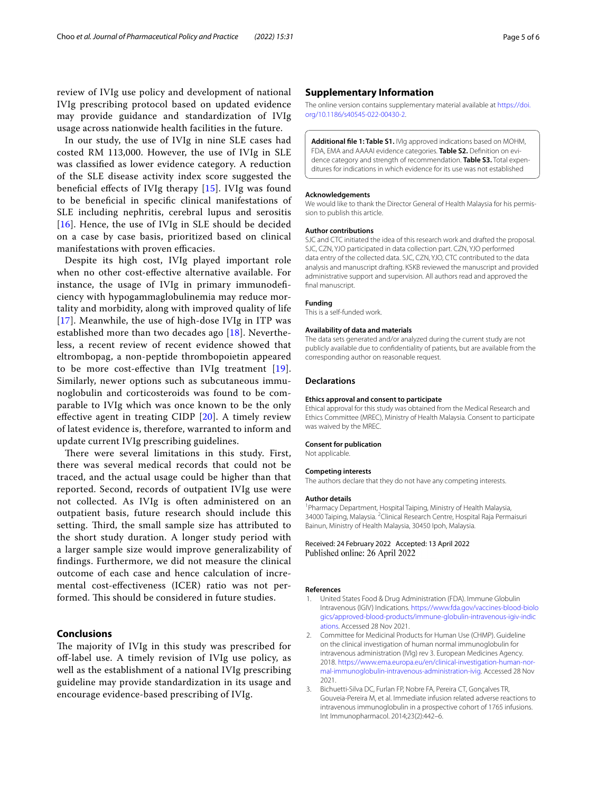review of IVIg use policy and development of national IVIg prescribing protocol based on updated evidence may provide guidance and standardization of IVIg usage across nationwide health facilities in the future.

In our study, the use of IVIg in nine SLE cases had costed RM 113,000. However, the use of IVIg in SLE was classifed as lower evidence category. A reduction of the SLE disease activity index score suggested the beneficial effects of IVIg therapy [[15\]](#page-5-11). IVIg was found to be benefcial in specifc clinical manifestations of SLE including nephritis, cerebral lupus and serositis  $[16]$  $[16]$  $[16]$ . Hence, the use of IVIg in SLE should be decided on a case by case basis, prioritized based on clinical manifestations with proven efficacies.

Despite its high cost, IVIg played important role when no other cost-efective alternative available. For instance, the usage of IVIg in primary immunodefciency with hypogammaglobulinemia may reduce mortality and morbidity, along with improved quality of life [[17](#page-5-13)]. Meanwhile, the use of high-dose IVIg in ITP was established more than two decades ago  $[18]$  $[18]$ . Nevertheless, a recent review of recent evidence showed that eltrombopag, a non-peptide thrombopoietin appeared to be more cost-efective than IVIg treatment [[19](#page-5-15)]. Similarly, newer options such as subcutaneous immunoglobulin and corticosteroids was found to be comparable to IVIg which was once known to be the only efective agent in treating CIDP [[20](#page-5-16)]. A timely review of latest evidence is, therefore, warranted to inform and update current IVIg prescribing guidelines.

There were several limitations in this study. First, there was several medical records that could not be traced, and the actual usage could be higher than that reported. Second, records of outpatient IVIg use were not collected. As IVIg is often administered on an outpatient basis, future research should include this setting. Third, the small sample size has attributed to the short study duration. A longer study period with a larger sample size would improve generalizability of fndings. Furthermore, we did not measure the clinical outcome of each case and hence calculation of incremental cost-efectiveness (ICER) ratio was not performed. This should be considered in future studies.

## **Conclusions**

The majority of IVIg in this study was prescribed for of-label use. A timely revision of IVIg use policy, as well as the establishment of a national IVIg prescribing guideline may provide standardization in its usage and encourage evidence-based prescribing of IVIg.

## **Supplementary Information**

The online version contains supplementary material available at [https://doi.](https://doi.org/10.1186/s40545-022-00430-2) [org/10.1186/s40545-022-00430-2](https://doi.org/10.1186/s40545-022-00430-2).

<span id="page-4-3"></span>**Additional fle 1: Table S1.** IVIg approved indications based on MOHM, FDA, EMA and AAAAI evidence categories. **Table S2.** Defnition on evidence category and strength of recommendation. **Table S3.** Total expenditures for indications in which evidence for its use was not established

#### **Acknowledgements**

We would like to thank the Director General of Health Malaysia for his permission to publish this article.

#### **Author contributions**

SJC and CTC initiated the idea of this research work and drafted the proposal. SJC, CZN, YJO participated in data collection part. CZN, YJO performed data entry of the collected data. SJC, CZN, YJO, CTC contributed to the data analysis and manuscript drafting. KSKB reviewed the manuscript and provided administrative support and supervision. All authors read and approved the final manuscript.

#### **Funding**

This is a self-funded work.

#### **Availability of data and materials**

The data sets generated and/or analyzed during the current study are not publicly available due to confdentiality of patients, but are available from the corresponding author on reasonable request.

#### **Declarations**

### **Ethics approval and consent to participate**

Ethical approval for this study was obtained from the Medical Research and Ethics Committee (MREC), Ministry of Health Malaysia. Consent to participate was waived by the MREC.

#### **Consent for publication**

Not applicable.

#### **Competing interests**

The authors declare that they do not have any competing interests.

#### **Author details**

<sup>1</sup> Pharmacy Department, Hospital Taiping, Ministry of Health Malaysia, 34000 Taiping, Malaysia. <sup>2</sup> Clinical Research Centre, Hospital Raja Permaisuri Bainun, Ministry of Health Malaysia, 30450 Ipoh, Malaysia.

Received: 24 February 2022 Accepted: 13 April 2022

#### **References**

- <span id="page-4-0"></span>1. United States Food & Drug Administration (FDA). Immune Globulin Intravenous (IGIV) Indications. [https://www.fda.gov/vaccines-blood-biolo](https://www.fda.gov/vaccines-blood-biologics/approved-blood-products/immune-globulin-intravenous-igiv-indications) [gics/approved-blood-products/immune-globulin-intravenous-igiv-indic](https://www.fda.gov/vaccines-blood-biologics/approved-blood-products/immune-globulin-intravenous-igiv-indications) [ations.](https://www.fda.gov/vaccines-blood-biologics/approved-blood-products/immune-globulin-intravenous-igiv-indications) Accessed 28 Nov 2021.
- <span id="page-4-1"></span>2. Committee for Medicinal Products for Human Use (CHMP). Guideline on the clinical investigation of human normal immunoglobulin for intravenous administration (IVIg) rev 3. European Medicines Agency. 2018. [https://www.ema.europa.eu/en/clinical-investigation-human-nor](https://www.ema.europa.eu/en/clinical-investigation-human-normal-immunoglobulin-intravenous-administration-ivig)[mal-immunoglobulin-intravenous-administration-ivig.](https://www.ema.europa.eu/en/clinical-investigation-human-normal-immunoglobulin-intravenous-administration-ivig) Accessed 28 Nov 2021.
- <span id="page-4-2"></span>3. Bichuetti-Silva DC, Furlan FP, Nobre FA, Pereira CT, Gonçalves TR, Gouveia-Pereira M, et al. Immediate infusion related adverse reactions to intravenous immunoglobulin in a prospective cohort of 1765 infusions. Int Immunopharmacol. 2014;23(2):442–6.